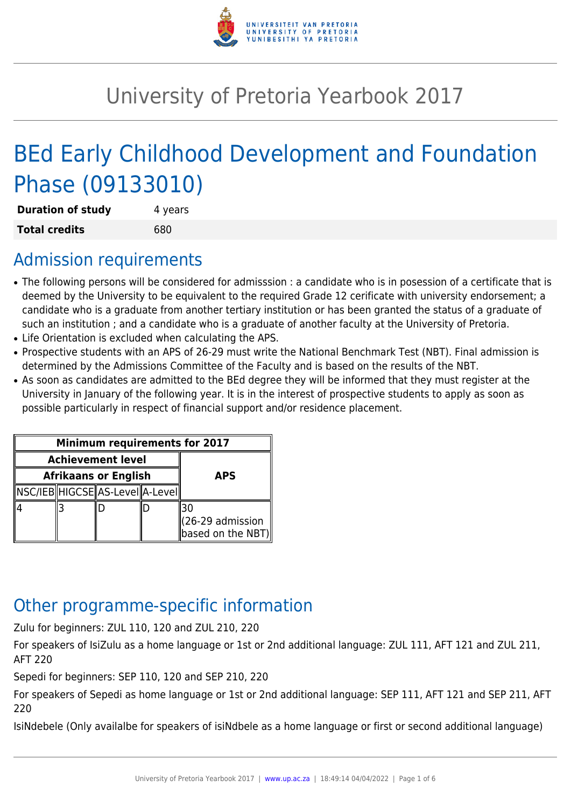

# University of Pretoria Yearbook 2017

# BEd Early Childhood Development and Foundation Phase (09133010)

| <b>Duration of study</b> | 4 years |
|--------------------------|---------|
| <b>Total credits</b>     | 680     |

# Admission requirements

- The following persons will be considered for admisssion : a candidate who is in posession of a certificate that is deemed by the University to be equivalent to the required Grade 12 cerificate with university endorsement; a candidate who is a graduate from another tertiary institution or has been granted the status of a graduate of such an institution ; and a candidate who is a graduate of another faculty at the University of Pretoria.
- Life Orientation is excluded when calculating the APS.
- Prospective students with an APS of 26-29 must write the National Benchmark Test (NBT). Final admission is determined by the Admissions Committee of the Faculty and is based on the results of the NBT.
- As soon as candidates are admitted to the BEd degree they will be informed that they must register at the University in January of the following year. It is in the interest of prospective students to apply as soon as possible particularly in respect of financial support and/or residence placement.

| <b>Minimum requirements for 2017</b> |  |                                                                                                |  |                                         |
|--------------------------------------|--|------------------------------------------------------------------------------------------------|--|-----------------------------------------|
| <b>Achievement level</b>             |  |                                                                                                |  |                                         |
| <b>Afrikaans or English</b>          |  | <b>APS</b>                                                                                     |  |                                         |
|                                      |  | $\left\ {\sf NSC/IEB}\right\ $ HIGCSE $\left\ {\sf AS\text{-}Level}\right\ $ A-Level $\left\ $ |  |                                         |
|                                      |  |                                                                                                |  | $(26-29$ admission<br>based on the NBT) |

# Other programme-specific information

Zulu for beginners: ZUL 110, 120 and ZUL 210, 220

For speakers of IsiZulu as a home language or 1st or 2nd additional language: ZUL 111, AFT 121 and ZUL 211, AFT 220

Sepedi for beginners: SEP 110, 120 and SEP 210, 220

For speakers of Sepedi as home language or 1st or 2nd additional language: SEP 111, AFT 121 and SEP 211, AFT 220

IsiNdebele (Only availalbe for speakers of isiNdbele as a home language or first or second additional language)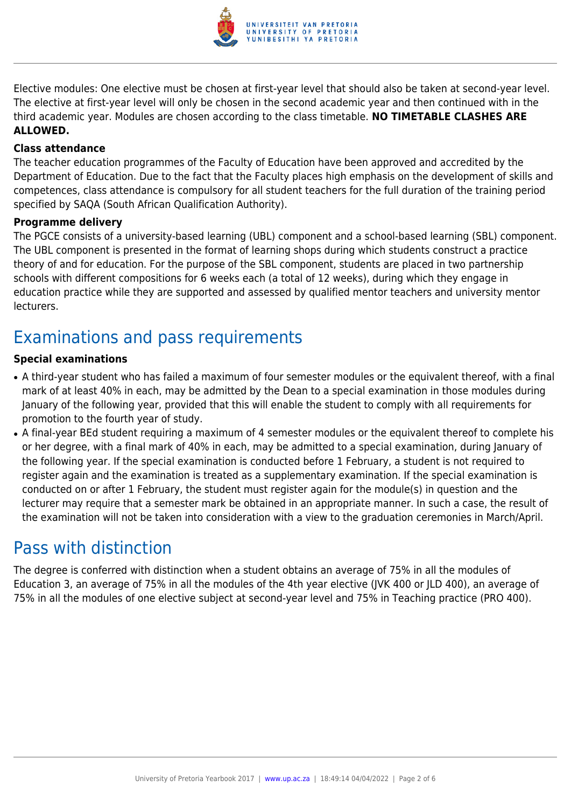

Elective modules: One elective must be chosen at first-year level that should also be taken at second-year level. The elective at first-year level will only be chosen in the second academic year and then continued with in the third academic year. Modules are chosen according to the class timetable. **NO TIMETABLE CLASHES ARE ALLOWED.**

#### **Class attendance**

The teacher education programmes of the Faculty of Education have been approved and accredited by the Department of Education. Due to the fact that the Faculty places high emphasis on the development of skills and competences, class attendance is compulsory for all student teachers for the full duration of the training period specified by SAQA (South African Qualification Authority).

#### **Programme delivery**

The PGCE consists of a university-based learning (UBL) component and a school-based learning (SBL) component. The UBL component is presented in the format of learning shops during which students construct a practice theory of and for education. For the purpose of the SBL component, students are placed in two partnership schools with different compositions for 6 weeks each (a total of 12 weeks), during which they engage in education practice while they are supported and assessed by qualified mentor teachers and university mentor lecturers.

# Examinations and pass requirements

#### **Special examinations**

- A third-year student who has failed a maximum of four semester modules or the equivalent thereof, with a final mark of at least 40% in each, may be admitted by the Dean to a special examination in those modules during January of the following year, provided that this will enable the student to comply with all requirements for promotion to the fourth year of study.
- A final-year BEd student requiring a maximum of 4 semester modules or the equivalent thereof to complete his or her degree, with a final mark of 40% in each, may be admitted to a special examination, during January of the following year. If the special examination is conducted before 1 February, a student is not required to register again and the examination is treated as a supplementary examination. If the special examination is conducted on or after 1 February, the student must register again for the module(s) in question and the lecturer may require that a semester mark be obtained in an appropriate manner. In such a case, the result of the examination will not be taken into consideration with a view to the graduation ceremonies in March/April.

## Pass with distinction

The degree is conferred with distinction when a student obtains an average of 75% in all the modules of Education 3, an average of 75% in all the modules of the 4th year elective (JVK 400 or JLD 400), an average of 75% in all the modules of one elective subject at second-year level and 75% in Teaching practice (PRO 400).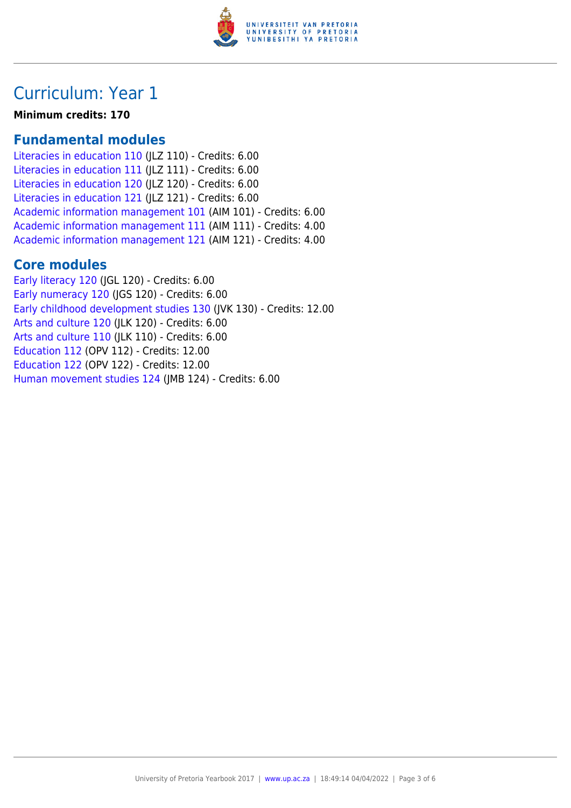

# Curriculum: Year 1

**Minimum credits: 170**

### **Fundamental modules**

[Literacies in education 110](https://www.up.ac.za/yearbooks/2017/modules/view/JLZ 110) (JLZ 110) - Credits: 6.00 [Literacies in education 111](https://www.up.ac.za/yearbooks/2017/modules/view/JLZ 111) (JLZ 111) - Credits: 6.00 [Literacies in education 120](https://www.up.ac.za/yearbooks/2017/modules/view/JLZ 120) (JLZ 120) - Credits: 6.00 [Literacies in education 121](https://www.up.ac.za/yearbooks/2017/modules/view/JLZ 121) (JLZ 121) - Credits: 6.00 [Academic information management 101](https://www.up.ac.za/yearbooks/2017/modules/view/AIM 101) (AIM 101) - Credits: 6.00 [Academic information management 111](https://www.up.ac.za/yearbooks/2017/modules/view/AIM 111) (AIM 111) - Credits: 4.00 [Academic information management 121](https://www.up.ac.za/yearbooks/2017/modules/view/AIM 121) (AIM 121) - Credits: 4.00

## **Core modules**

[Early literacy 120](https://www.up.ac.za/yearbooks/2017/modules/view/JGL 120) (JGL 120) - Credits: 6.00 [Early numeracy 120](https://www.up.ac.za/yearbooks/2017/modules/view/JGS 120) (JGS 120) - Credits: 6.00 [Early childhood development studies 130](https://www.up.ac.za/yearbooks/2017/modules/view/JVK 130) (JVK 130) - Credits: 12.00 [Arts and culture 120](https://www.up.ac.za/yearbooks/2017/modules/view/JLK 120) (JLK 120) - Credits: 6.00 [Arts and culture 110](https://www.up.ac.za/yearbooks/2017/modules/view/JLK 110) (ILK 110) - Credits: 6.00 [Education 112](https://www.up.ac.za/yearbooks/2017/modules/view/OPV 112) (OPV 112) - Credits: 12.00 [Education 122](https://www.up.ac.za/yearbooks/2017/modules/view/OPV 122) (OPV 122) - Credits: 12.00 [Human movement studies 124](https://www.up.ac.za/yearbooks/2017/modules/view/JMB 124) (JMB 124) - Credits: 6.00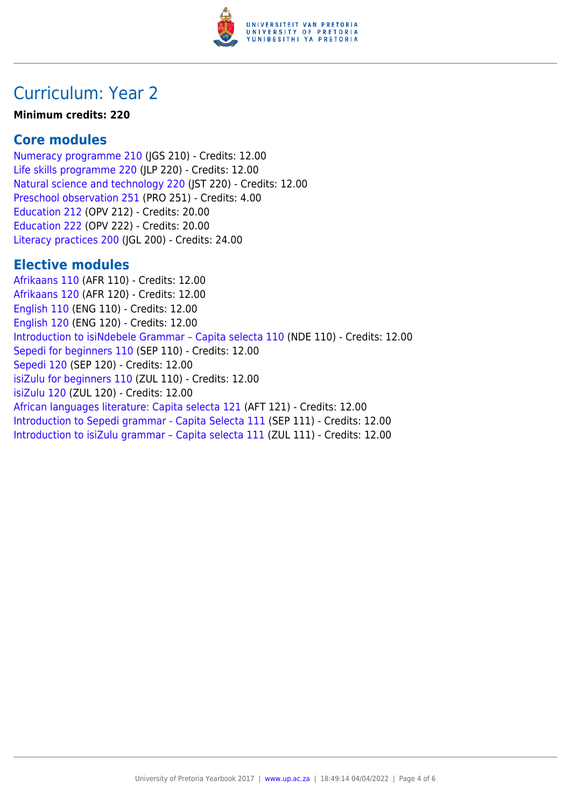

# Curriculum: Year 2

#### **Minimum credits: 220**

### **Core modules**

[Numeracy programme 210](https://www.up.ac.za/yearbooks/2017/modules/view/JGS 210) (JGS 210) - Credits: 12.00 [Life skills programme 220](https://www.up.ac.za/yearbooks/2017/modules/view/JLP 220) (JLP 220) - Credits: 12.00 [Natural science and technology 220](https://www.up.ac.za/yearbooks/2017/modules/view/JST 220) (JST 220) - Credits: 12.00 [Preschool observation 251](https://www.up.ac.za/yearbooks/2017/modules/view/PRO 251) (PRO 251) - Credits: 4.00 [Education 212](https://www.up.ac.za/yearbooks/2017/modules/view/OPV 212) (OPV 212) - Credits: 20.00 [Education 222](https://www.up.ac.za/yearbooks/2017/modules/view/OPV 222) (OPV 222) - Credits: 20.00 [Literacy practices 200](https://www.up.ac.za/yearbooks/2017/modules/view/JGL 200) (JGL 200) - Credits: 24.00

### **Elective modules**

[Afrikaans 110](https://www.up.ac.za/yearbooks/2017/modules/view/AFR 110) (AFR 110) - Credits: 12.00 [Afrikaans 120](https://www.up.ac.za/yearbooks/2017/modules/view/AFR 120) (AFR 120) - Credits: 12.00 [English 110](https://www.up.ac.za/yearbooks/2017/modules/view/ENG 110) (ENG 110) - Credits: 12.00 [English 120](https://www.up.ac.za/yearbooks/2017/modules/view/ENG 120) (ENG 120) - Credits: 12.00 [Introduction to isiNdebele Grammar – Capita selecta 110](https://www.up.ac.za/yearbooks/2017/modules/view/NDE 110) (NDE 110) - Credits: 12.00 [Sepedi for beginners 110](https://www.up.ac.za/yearbooks/2017/modules/view/SEP 110) (SEP 110) - Credits: 12.00 [Sepedi 120](https://www.up.ac.za/yearbooks/2017/modules/view/SEP 120) (SEP 120) - Credits: 12.00 [isiZulu for beginners 110](https://www.up.ac.za/yearbooks/2017/modules/view/ZUL 110) (ZUL 110) - Credits: 12.00 [isiZulu 120](https://www.up.ac.za/yearbooks/2017/modules/view/ZUL 120) (ZUL 120) - Credits: 12.00 [African languages literature: Capita selecta 121](https://www.up.ac.za/yearbooks/2017/modules/view/AFT 121) (AFT 121) - Credits: 12.00 [Introduction to Sepedi grammar - Capita Selecta 111](https://www.up.ac.za/yearbooks/2017/modules/view/SEP 111) (SEP 111) - Credits: 12.00 [Introduction to isiZulu grammar – Capita selecta 111](https://www.up.ac.za/yearbooks/2017/modules/view/ZUL 111) (ZUL 111) - Credits: 12.00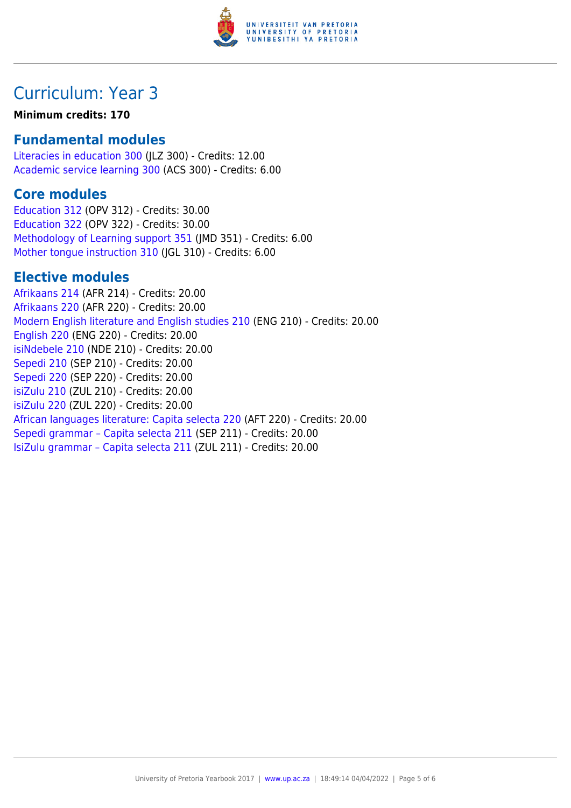

# Curriculum: Year 3

#### **Minimum credits: 170**

### **Fundamental modules**

[Literacies in education 300](https://www.up.ac.za/yearbooks/2017/modules/view/JLZ 300) (JLZ 300) - Credits: 12.00 [Academic service learning 300](https://www.up.ac.za/yearbooks/2017/modules/view/ACS 300) (ACS 300) - Credits: 6.00

### **Core modules**

[Education 312](https://www.up.ac.za/yearbooks/2017/modules/view/OPV 312) (OPV 312) - Credits: 30.00 [Education 322](https://www.up.ac.za/yearbooks/2017/modules/view/OPV 322) (OPV 322) - Credits: 30.00 [Methodology of Learning support 351](https://www.up.ac.za/yearbooks/2017/modules/view/JMD 351) (JMD 351) - Credits: 6.00 [Mother tongue instruction 310](https://www.up.ac.za/yearbooks/2017/modules/view/JGL 310) (JGL 310) - Credits: 6.00

### **Elective modules**

[Afrikaans 214](https://www.up.ac.za/yearbooks/2017/modules/view/AFR 214) (AFR 214) - Credits: 20.00 [Afrikaans 220](https://www.up.ac.za/yearbooks/2017/modules/view/AFR 220) (AFR 220) - Credits: 20.00 [Modern English literature and English studies 210](https://www.up.ac.za/yearbooks/2017/modules/view/ENG 210) (ENG 210) - Credits: 20.00 [English 220](https://www.up.ac.za/yearbooks/2017/modules/view/ENG 220) (ENG 220) - Credits: 20.00 [isiNdebele 210](https://www.up.ac.za/yearbooks/2017/modules/view/NDE 210) (NDE 210) - Credits: 20.00 [Sepedi 210](https://www.up.ac.za/yearbooks/2017/modules/view/SEP 210) (SEP 210) - Credits: 20.00 [Sepedi 220](https://www.up.ac.za/yearbooks/2017/modules/view/SEP 220) (SEP 220) - Credits: 20.00 [isiZulu 210](https://www.up.ac.za/yearbooks/2017/modules/view/ZUL 210) (ZUL 210) - Credits: 20.00 [isiZulu 220](https://www.up.ac.za/yearbooks/2017/modules/view/ZUL 220) (ZUL 220) - Credits: 20.00 [African languages literature: Capita selecta 220](https://www.up.ac.za/yearbooks/2017/modules/view/AFT 220) (AFT 220) - Credits: 20.00 [Sepedi grammar – Capita selecta 211](https://www.up.ac.za/yearbooks/2017/modules/view/SEP 211) (SEP 211) - Credits: 20.00 [IsiZulu grammar – Capita selecta 211](https://www.up.ac.za/yearbooks/2017/modules/view/ZUL 211) (ZUL 211) - Credits: 20.00